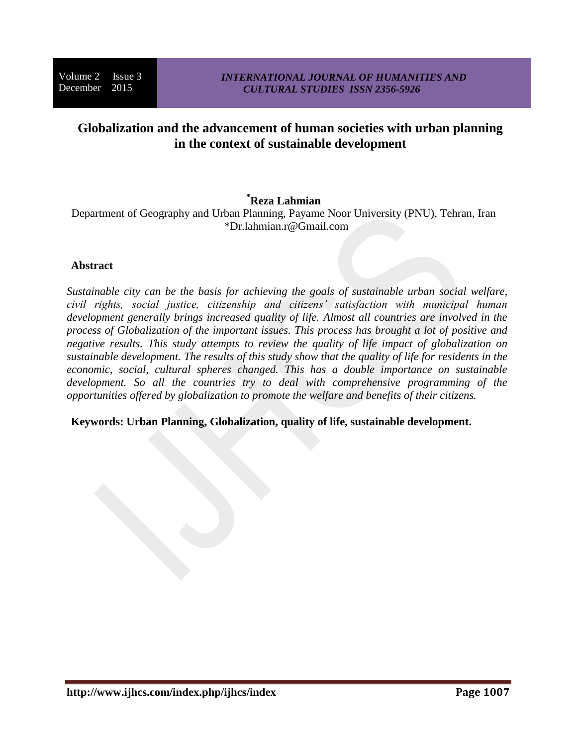# **Globalization and the advancement of human societies with urban planning in the context of sustainable development**

# **\*Reza Lahmian**

Department of Geography and Urban Planning, Payame Noor University (PNU), Tehran, Iran \*Dr.lahmian.r@Gmail.com

# **Abstract**

*Sustainable city can be the basis for achieving the goals of sustainable urban social welfare, civil rights, social justice, citizenship and citizens' satisfaction with municipal human development generally brings increased quality of life. Almost all countries are involved in the process of Globalization of the important issues. This process has brought a lot of positive and negative results. This study attempts to review the quality of life impact of globalization on sustainable development. The results of this study show that the quality of life for residents in the economic, social, cultural spheres changed. This has a double importance on sustainable development. So all the countries try to deal with comprehensive programming of the opportunities offered by globalization to promote the welfare and benefits of their citizens.* 

**Keywords: Urban Planning, Globalization, quality of life, sustainable development.**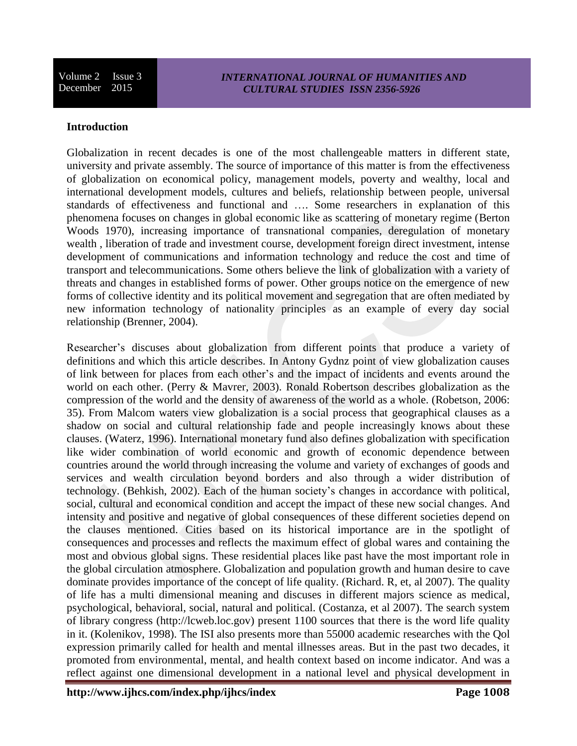### **Introduction**

Globalization in recent decades is one of the most challengeable matters in different state, university and private assembly. The source of importance of this matter is from the effectiveness of globalization on economical policy, management models, poverty and wealthy, local and international development models, cultures and beliefs, relationship between people, universal standards of effectiveness and functional and …. Some researchers in explanation of this phenomena focuses on changes in global economic like as scattering of monetary regime (Berton Woods 1970), increasing importance of transnational companies, deregulation of monetary wealth , liberation of trade and investment course, development foreign direct investment, intense development of communications and information technology and reduce the cost and time of transport and telecommunications. Some others believe the link of globalization with a variety of threats and changes in established forms of power. Other groups notice on the emergence of new forms of collective identity and its political movement and segregation that are often mediated by new information technology of nationality principles as an example of every day social relationship (Brenner, 2004).

Researcher's discuses about globalization from different points that produce a variety of definitions and which this article describes. In Antony Gydnz point of view globalization causes of link between for places from each other's and the impact of incidents and events around the world on each other. (Perry & Mavrer, 2003). Ronald Robertson describes globalization as the compression of the world and the density of awareness of the world as a whole. (Robetson, 2006: 35). From Malcom waters view globalization is a social process that geographical clauses as a shadow on social and cultural relationship fade and people increasingly knows about these clauses. (Waterz, 1996). International monetary fund also defines globalization with specification like wider combination of world economic and growth of economic dependence between countries around the world through increasing the volume and variety of exchanges of goods and services and wealth circulation beyond borders and also through a wider distribution of technology. (Behkish, 2002). Each of the human society's changes in accordance with political, social, cultural and economical condition and accept the impact of these new social changes. And intensity and positive and negative of global consequences of these different societies depend on the clauses mentioned. Cities based on its historical importance are in the spotlight of consequences and processes and reflects the maximum effect of global wares and containing the most and obvious global signs. These residential places like past have the most important role in the global circulation atmosphere. Globalization and population growth and human desire to cave dominate provides importance of the concept of life quality. (Richard. R, et, al 2007). The quality of life has a multi dimensional meaning and discuses in different majors science as medical, psychological, behavioral, social, natural and political. (Costanza, et al 2007). The search system of library congress (http://lcweb.loc.gov) present 1100 sources that there is the word life quality in it. (Kolenikov, 1998). The ISI also presents more than 55000 academic researches with the Qol expression primarily called for health and mental illnesses areas. But in the past two decades, it promoted from environmental, mental, and health context based on income indicator. And was a reflect against one dimensional development in a national level and physical development in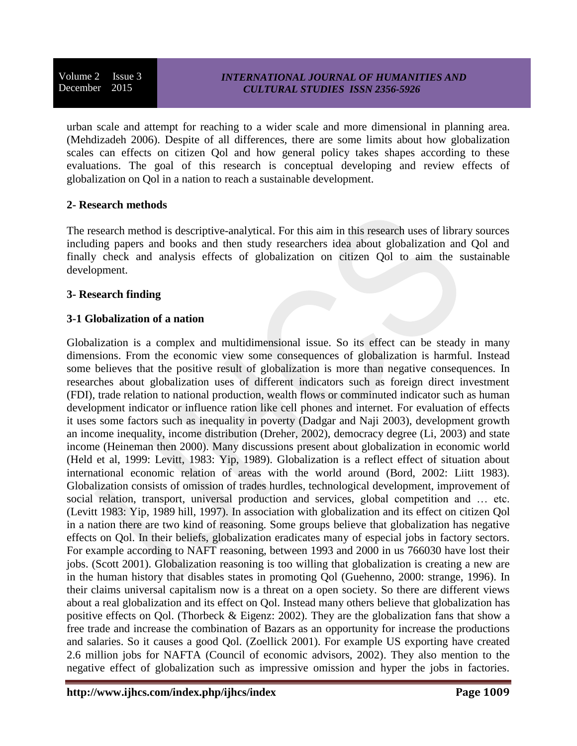### *INTERNATIONAL JOURNAL OF HUMANITIES AND CULTURAL STUDIES ISSN 2356-5926*

urban scale and attempt for reaching to a wider scale and more dimensional in planning area. (Mehdizadeh 2006). Despite of all differences, there are some limits about how globalization scales can effects on citizen Qol and how general policy takes shapes according to these evaluations. The goal of this research is conceptual developing and review effects of globalization on Qol in a nation to reach a sustainable development.

### **2- Research methods**

The research method is descriptive-analytical. For this aim in this research uses of library sources including papers and books and then study researchers idea about globalization and Qol and finally check and analysis effects of globalization on citizen Qol to aim the sustainable development.

### **3- Research finding**

# **3-1 Globalization of a nation**

Globalization is a complex and multidimensional issue. So its effect can be steady in many dimensions. From the economic view some consequences of globalization is harmful. Instead some believes that the positive result of globalization is more than negative consequences. In researches about globalization uses of different indicators such as foreign direct investment (FDI), trade relation to national production, wealth flows or comminuted indicator such as human development indicator or influence ration like cell phones and internet. For evaluation of effects it uses some factors such as inequality in poverty (Dadgar and Naji 2003), development growth an income inequality, income distribution (Dreher, 2002), democracy degree (Li, 2003) and state income (Heineman then 2000). Many discussions present about globalization in economic world (Held et al, 1999: Levitt, 1983: Yip, 1989). Globalization is a reflect effect of situation about international economic relation of areas with the world around (Bord, 2002: Liitt 1983). Globalization consists of omission of trades hurdles, technological development, improvement of social relation, transport, universal production and services, global competition and ... etc. (Levitt 1983: Yip, 1989 hill, 1997). In association with globalization and its effect on citizen Qol in a nation there are two kind of reasoning. Some groups believe that globalization has negative effects on Qol. In their beliefs, globalization eradicates many of especial jobs in factory sectors. For example according to NAFT reasoning, between 1993 and 2000 in us 766030 have lost their jobs. (Scott 2001). Globalization reasoning is too willing that globalization is creating a new are in the human history that disables states in promoting Qol (Guehenno, 2000: strange, 1996). In their claims universal capitalism now is a threat on a open society. So there are different views about a real globalization and its effect on Qol. Instead many others believe that globalization has positive effects on Qol. (Thorbeck & Eigenz: 2002). They are the globalization fans that show a free trade and increase the combination of Bazars as an opportunity for increase the productions and salaries. So it causes a good Qol. (Zoellick 2001). For example US exporting have created 2.6 million jobs for NAFTA (Council of economic advisors, 2002). They also mention to the negative effect of globalization such as impressive omission and hyper the jobs in factories.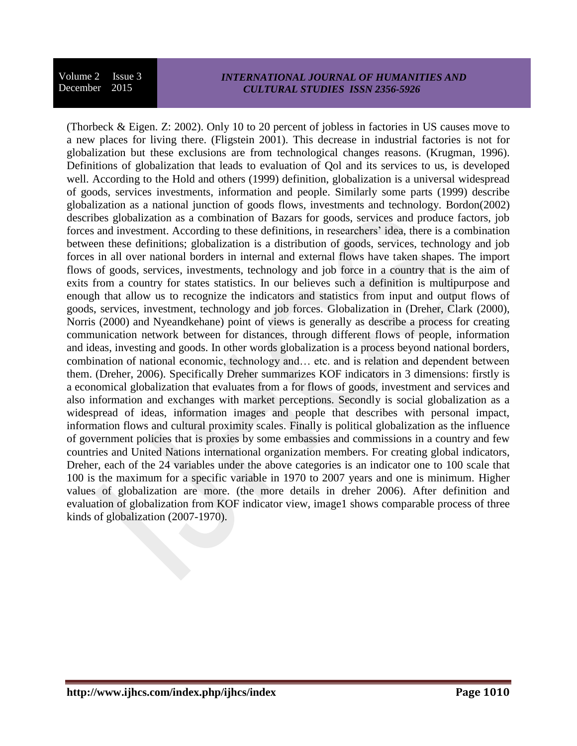#### *INTERNATIONAL JOURNAL OF HUMANITIES AND CULTURAL STUDIES ISSN 2356-5926*

(Thorbeck & Eigen. Z: 2002). Only 10 to 20 percent of jobless in factories in US causes move to a new places for living there. (Fligstein 2001). This decrease in industrial factories is not for globalization but these exclusions are from technological changes reasons. (Krugman, 1996). Definitions of globalization that leads to evaluation of Qol and its services to us, is developed well. According to the Hold and others (1999) definition, globalization is a universal widespread of goods, services investments, information and people. Similarly some parts (1999) describe globalization as a national junction of goods flows, investments and technology. Bordon(2002) describes globalization as a combination of Bazars for goods, services and produce factors, job forces and investment. According to these definitions, in researchers' idea, there is a combination between these definitions; globalization is a distribution of goods, services, technology and job forces in all over national borders in internal and external flows have taken shapes. The import flows of goods, services, investments, technology and job force in a country that is the aim of exits from a country for states statistics. In our believes such a definition is multipurpose and enough that allow us to recognize the indicators and statistics from input and output flows of goods, services, investment, technology and job forces. Globalization in (Dreher, Clark (2000), Norris (2000) and Nyeandkehane) point of views is generally as describe a process for creating communication network between for distances, through different flows of people, information and ideas, investing and goods. In other words globalization is a process beyond national borders, combination of national economic, technology and… etc. and is relation and dependent between them. (Dreher, 2006). Specifically Dreher summarizes KOF indicators in 3 dimensions: firstly is a economical globalization that evaluates from a for flows of goods, investment and services and also information and exchanges with market perceptions. Secondly is social globalization as a widespread of ideas, information images and people that describes with personal impact, information flows and cultural proximity scales. Finally is political globalization as the influence of government policies that is proxies by some embassies and commissions in a country and few countries and United Nations international organization members. For creating global indicators, Dreher, each of the 24 variables under the above categories is an indicator one to 100 scale that 100 is the maximum for a specific variable in 1970 to 2007 years and one is minimum. Higher values of globalization are more. (the more details in dreher 2006). After definition and evaluation of globalization from KOF indicator view, image1 shows comparable process of three kinds of globalization (2007-1970).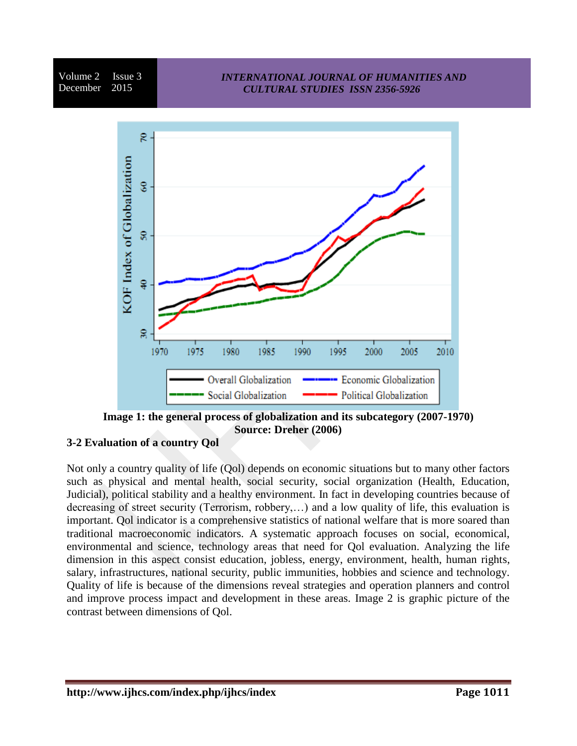# *INTERNATIONAL JOURNAL OF HUMANITIES AND CULTURAL STUDIES ISSN 2356-5926*



**Image 1: the general process of globalization and its subcategory (2007-1970) Source: Dreher (2006)**

# **3-2 Evaluation of a country Qol**

Not only a country quality of life (Qol) depends on economic situations but to many other factors such as physical and mental health, social security, social organization (Health, Education, Judicial), political stability and a healthy environment. In fact in developing countries because of decreasing of street security (Terrorism, robbery,…) and a low quality of life, this evaluation is important. Qol indicator is a comprehensive statistics of national welfare that is more soared than traditional macroeconomic indicators. A systematic approach focuses on social, economical, environmental and science, technology areas that need for Qol evaluation. Analyzing the life dimension in this aspect consist education, jobless, energy, environment, health, human rights, salary, infrastructures, national security, public immunities, hobbies and science and technology. Quality of life is because of the dimensions reveal strategies and operation planners and control and improve process impact and development in these areas. Image 2 is graphic picture of the contrast between dimensions of Qol.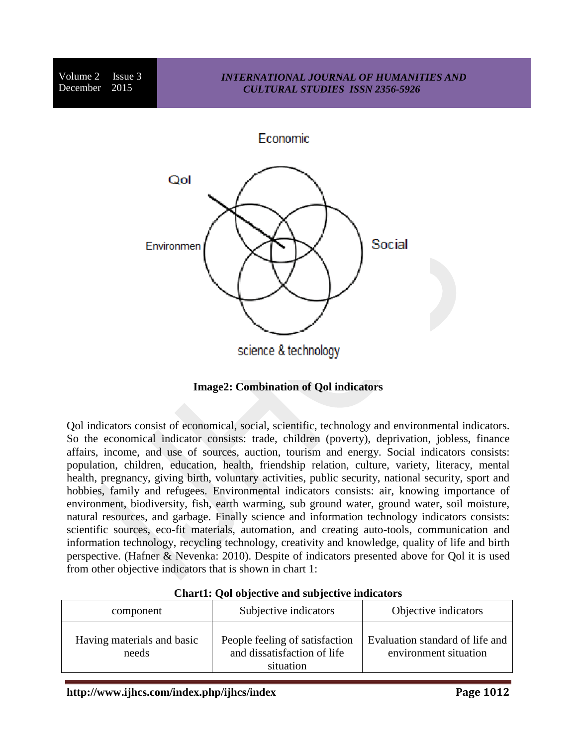



Qol indicators consist of economical, social, scientific, technology and environmental indicators. So the economical indicator consists: trade, children (poverty), deprivation, jobless, finance affairs, income, and use of sources, auction, tourism and energy. Social indicators consists: population, children, education, health, friendship relation, culture, variety, literacy, mental health, pregnancy, giving birth, voluntary activities, public security, national security, sport and hobbies, family and refugees. Environmental indicators consists: air, knowing importance of environment, biodiversity, fish, earth warming, sub ground water, ground water, soil moisture, natural resources, and garbage. Finally science and information technology indicators consists: scientific sources, eco-fit materials, automation, and creating auto-tools, communication and information technology, recycling technology, creativity and knowledge, quality of life and birth perspective. (Hafner & Nevenka: 2010). Despite of indicators presented above for Qol it is used from other objective indicators that is shown in chart 1:

| component                           | Subjective indicators                                                      | Objective indicators                                     |
|-------------------------------------|----------------------------------------------------------------------------|----------------------------------------------------------|
| Having materials and basic<br>needs | People feeling of satisfaction<br>and dissatisfaction of life<br>situation | Evaluation standard of life and<br>environment situation |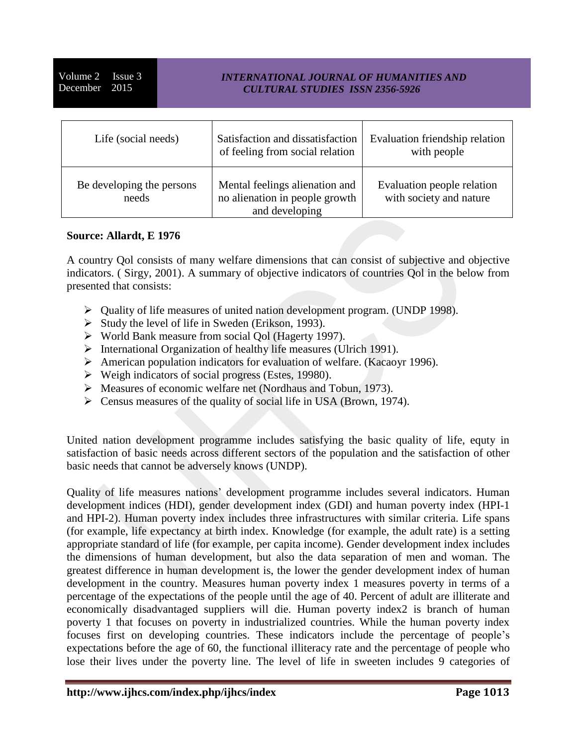## *INTERNATIONAL JOURNAL OF HUMANITIES AND CULTURAL STUDIES ISSN 2356-5926*

| Life (social needs)                | Satisfaction and dissatisfaction<br>of feeling from social relation                | Evaluation friendship relation<br>with people         |
|------------------------------------|------------------------------------------------------------------------------------|-------------------------------------------------------|
| Be developing the persons<br>needs | Mental feelings alienation and<br>no alienation in people growth<br>and developing | Evaluation people relation<br>with society and nature |

### **Source: Allardt, E 1976**

A country Qol consists of many welfare dimensions that can consist of subjective and objective indicators. ( Sirgy, 2001). A summary of objective indicators of countries Qol in the below from presented that consists:

- Quality of life measures of united nation development program. (UNDP 1998).
- $\triangleright$  Study the level of life in Sweden (Erikson, 1993).
- World Bank measure from social Qol (Hagerty 1997).
- $\triangleright$  International Organization of healthy life measures (Ulrich 1991).
- American population indicators for evaluation of welfare. (Kacaoyr 1996).
- $\triangleright$  Weigh indicators of social progress (Estes, 19980).
- Measures of economic welfare net (Nordhaus and Tobun, 1973).
- $\triangleright$  Census measures of the quality of social life in USA (Brown, 1974).

United nation development programme includes satisfying the basic quality of life, equty in satisfaction of basic needs across different sectors of the population and the satisfaction of other basic needs that cannot be adversely knows (UNDP).

Quality of life measures nations' development programme includes several indicators. Human development indices (HDI), gender development index (GDI) and human poverty index (HPI-1 and HPI-2). Human poverty index includes three infrastructures with similar criteria. Life spans (for example, life expectancy at birth index. Knowledge (for example, the adult rate) is a setting appropriate standard of life (for example, per capita income). Gender development index includes the dimensions of human development, but also the data separation of men and woman. The greatest difference in human development is, the lower the gender development index of human development in the country. Measures human poverty index 1 measures poverty in terms of a percentage of the expectations of the people until the age of 40. Percent of adult are illiterate and economically disadvantaged suppliers will die. Human poverty index2 is branch of human poverty 1 that focuses on poverty in industrialized countries. While the human poverty index focuses first on developing countries. These indicators include the percentage of people's expectations before the age of 60, the functional illiteracy rate and the percentage of people who lose their lives under the poverty line. The level of life in sweeten includes 9 categories of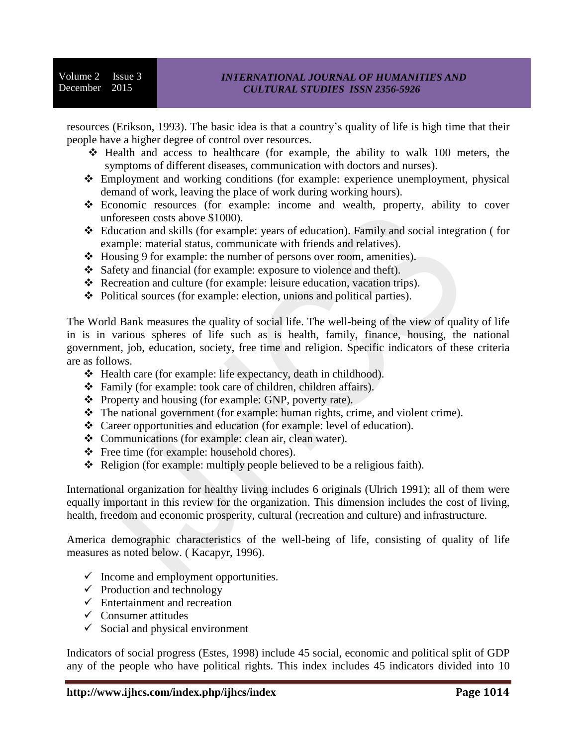resources (Erikson, 1993). The basic idea is that a country's quality of life is high time that their people have a higher degree of control over resources.

- $\div$  Health and access to healthcare (for example, the ability to walk 100 meters, the symptoms of different diseases, communication with doctors and nurses).
- Employment and working conditions (for example: experience unemployment, physical demand of work, leaving the place of work during working hours).
- Economic resources (for example: income and wealth, property, ability to cover unforeseen costs above \$1000).
- Education and skills (for example: years of education). Family and social integration ( for example: material status, communicate with friends and relatives).
- Housing 9 for example: the number of persons over room, amenities).
- Safety and financial (for example: exposure to violence and theft).
- Recreation and culture (for example: leisure education, vacation trips).
- Political sources (for example: election, unions and political parties).

The World Bank measures the quality of social life. The well-being of the view of quality of life in is in various spheres of life such as is health, family, finance, housing, the national government, job, education, society, free time and religion. Specific indicators of these criteria are as follows.

- Health care (for example: life expectancy, death in childhood).
- Family (for example: took care of children, children affairs).
- Property and housing (for example: GNP, poverty rate).
- The national government (for example: human rights, crime, and violent crime).
- Career opportunities and education (for example: level of education).
- Communications (for example: clean air, clean water).
- $\div$  Free time (for example: household chores).
- Religion (for example: multiply people believed to be a religious faith).

International organization for healthy living includes 6 originals (Ulrich 1991); all of them were equally important in this review for the organization. This dimension includes the cost of living, health, freedom and economic prosperity, cultural (recreation and culture) and infrastructure.

America demographic characteristics of the well-being of life, consisting of quality of life measures as noted below. ( Kacapyr, 1996).

- $\checkmark$  Income and employment opportunities.
- $\checkmark$  Production and technology
- $\checkmark$  Entertainment and recreation
- $\checkmark$  Consumer attitudes
- $\checkmark$  Social and physical environment

Indicators of social progress (Estes, 1998) include 45 social, economic and political split of GDP any of the people who have political rights. This index includes 45 indicators divided into 10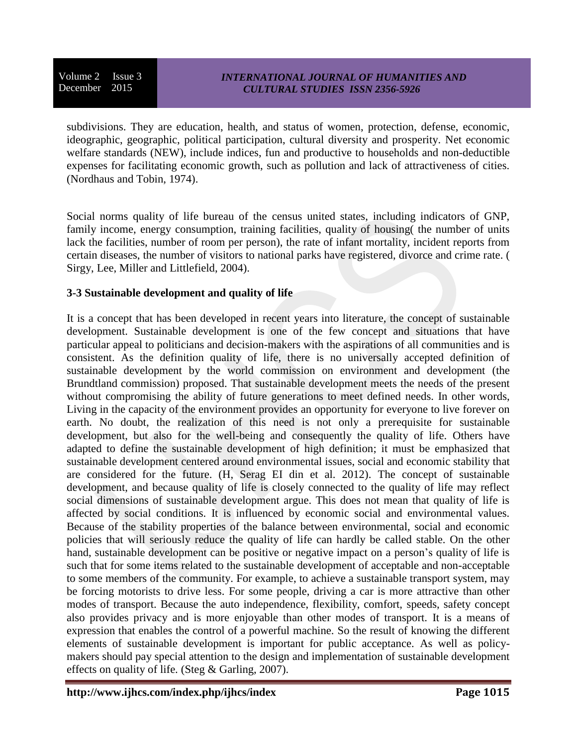subdivisions. They are education, health, and status of women, protection, defense, economic, ideographic, geographic, political participation, cultural diversity and prosperity. Net economic welfare standards (NEW), include indices, fun and productive to households and non-deductible expenses for facilitating economic growth, such as pollution and lack of attractiveness of cities. (Nordhaus and Tobin, 1974).

Social norms quality of life bureau of the census united states, including indicators of GNP, family income, energy consumption, training facilities, quality of housing( the number of units lack the facilities, number of room per person), the rate of infant mortality, incident reports from certain diseases, the number of visitors to national parks have registered, divorce and crime rate. ( Sirgy, Lee, Miller and Littlefield, 2004).

# **3-3 Sustainable development and quality of life**

It is a concept that has been developed in recent years into literature, the concept of sustainable development. Sustainable development is one of the few concept and situations that have particular appeal to politicians and decision-makers with the aspirations of all communities and is consistent. As the definition quality of life, there is no universally accepted definition of sustainable development by the world commission on environment and development (the Brundtland commission) proposed. That sustainable development meets the needs of the present without compromising the ability of future generations to meet defined needs. In other words, Living in the capacity of the environment provides an opportunity for everyone to live forever on earth. No doubt, the realization of this need is not only a prerequisite for sustainable development, but also for the well-being and consequently the quality of life. Others have adapted to define the sustainable development of high definition; it must be emphasized that sustainable development centered around environmental issues, social and economic stability that are considered for the future. (H, Serag EI din et al. 2012). The concept of sustainable development, and because quality of life is closely connected to the quality of life may reflect social dimensions of sustainable development argue. This does not mean that quality of life is affected by social conditions. It is influenced by economic social and environmental values. Because of the stability properties of the balance between environmental, social and economic policies that will seriously reduce the quality of life can hardly be called stable. On the other hand, sustainable development can be positive or negative impact on a person's quality of life is such that for some items related to the sustainable development of acceptable and non-acceptable to some members of the community. For example, to achieve a sustainable transport system, may be forcing motorists to drive less. For some people, driving a car is more attractive than other modes of transport. Because the auto independence, flexibility, comfort, speeds, safety concept also provides privacy and is more enjoyable than other modes of transport. It is a means of expression that enables the control of a powerful machine. So the result of knowing the different elements of sustainable development is important for public acceptance. As well as policymakers should pay special attention to the design and implementation of sustainable development effects on quality of life. (Steg & Garling, 2007).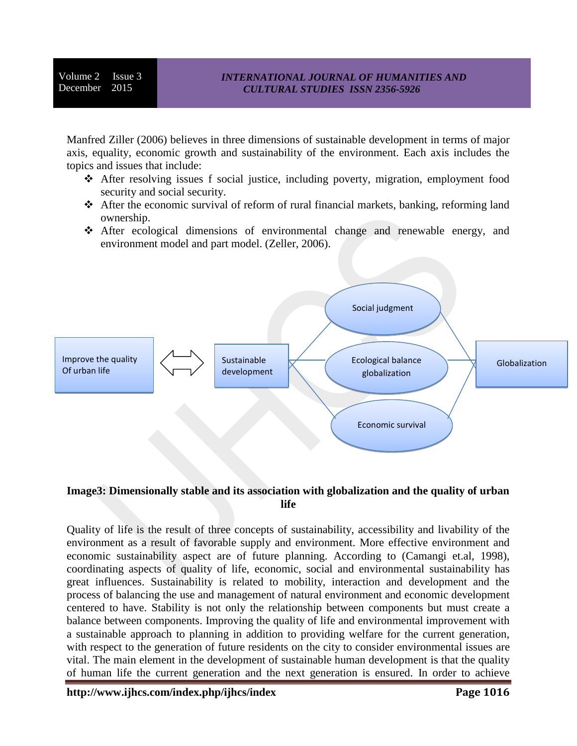Manfred Ziller (2006) believes in three dimensions of sustainable development in terms of major axis, equality, economic growth and sustainability of the environment. Each axis includes the topics and issues that include:

- After resolving issues f social justice, including poverty, migration, employment food security and social security.
- After the economic survival of reform of rural financial markets, banking, reforming land ownership.
- After ecological dimensions of environmental change and renewable energy, and environment model and part model. (Zeller, 2006).



# **Image3: Dimensionally stable and its association with globalization and the quality of urban life**

Quality of life is the result of three concepts of sustainability, accessibility and livability of the environment as a result of favorable supply and environment. More effective environment and economic sustainability aspect are of future planning. According to (Camangi et.al, 1998), coordinating aspects of quality of life, economic, social and environmental sustainability has great influences. Sustainability is related to mobility, interaction and development and the process of balancing the use and management of natural environment and economic development centered to have. Stability is not only the relationship between components but must create a balance between components. Improving the quality of life and environmental improvement with a sustainable approach to planning in addition to providing welfare for the current generation, with respect to the generation of future residents on the city to consider environmental issues are vital. The main element in the development of sustainable human development is that the quality of human life the current generation and the next generation is ensured. In order to achieve

**http://www.ijhcs.com/index.php/ijhcs/index Page 1016**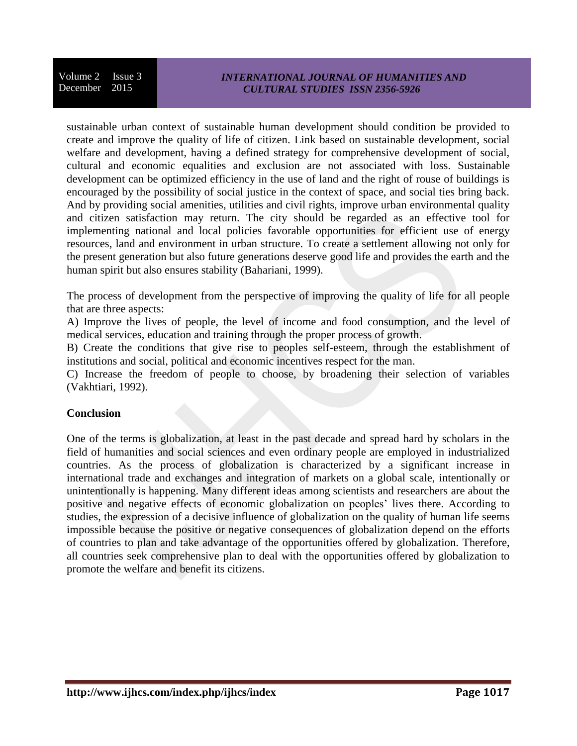### *INTERNATIONAL JOURNAL OF HUMANITIES AND CULTURAL STUDIES ISSN 2356-5926*

sustainable urban context of sustainable human development should condition be provided to create and improve the quality of life of citizen. Link based on sustainable development, social welfare and development, having a defined strategy for comprehensive development of social, cultural and economic equalities and exclusion are not associated with loss. Sustainable development can be optimized efficiency in the use of land and the right of rouse of buildings is encouraged by the possibility of social justice in the context of space, and social ties bring back. And by providing social amenities, utilities and civil rights, improve urban environmental quality and citizen satisfaction may return. The city should be regarded as an effective tool for implementing national and local policies favorable opportunities for efficient use of energy resources, land and environment in urban structure. To create a settlement allowing not only for the present generation but also future generations deserve good life and provides the earth and the human spirit but also ensures stability (Bahariani, 1999).

The process of development from the perspective of improving the quality of life for all people that are three aspects:

A) Improve the lives of people, the level of income and food consumption, and the level of medical services, education and training through the proper process of growth.

B) Create the conditions that give rise to peoples self-esteem, through the establishment of institutions and social, political and economic incentives respect for the man.

C) Increase the freedom of people to choose, by broadening their selection of variables (Vakhtiari, 1992).

# **Conclusion**

One of the terms is globalization, at least in the past decade and spread hard by scholars in the field of humanities and social sciences and even ordinary people are employed in industrialized countries. As the process of globalization is characterized by a significant increase in international trade and exchanges and integration of markets on a global scale, intentionally or unintentionally is happening. Many different ideas among scientists and researchers are about the positive and negative effects of economic globalization on peoples' lives there. According to studies, the expression of a decisive influence of globalization on the quality of human life seems impossible because the positive or negative consequences of globalization depend on the efforts of countries to plan and take advantage of the opportunities offered by globalization. Therefore, all countries seek comprehensive plan to deal with the opportunities offered by globalization to promote the welfare and benefit its citizens.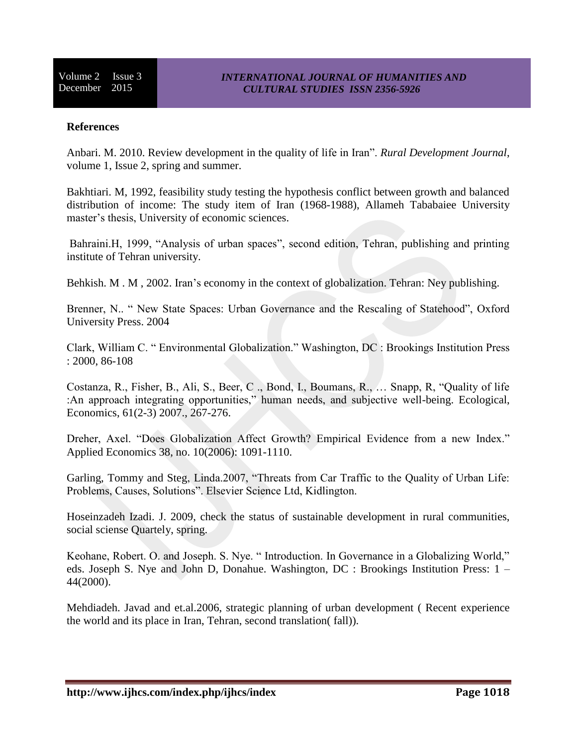#### **References**

Anbari. M. 2010. Review development in the quality of life in Iran". *Rural Development Journal*, volume 1, Issue 2, spring and summer.

Bakhtiari. M, 1992, feasibility study testing the hypothesis conflict between growth and balanced distribution of income: The study item of Iran (1968-1988), Allameh Tababaiee University master's thesis, University of economic sciences.

Bahraini.H, 1999, "Analysis of urban spaces", second edition, Tehran, publishing and printing institute of Tehran university.

Behkish. M . M, 2002. Iran's economy in the context of globalization. Tehran: Ney publishing.

Brenner, N.. " New State Spaces: Urban Governance and the Rescaling of Statehood", Oxford University Press. 2004

Clark, William C. " Environmental Globalization." Washington, DC : Brookings Institution Press : 2000, 86-108

Costanza, R., Fisher, B., Ali, S., Beer, C ., Bond, I., Boumans, R., … Snapp, R, "Quality of life :An approach integrating opportunities," human needs, and subjective well-being. Ecological, Economics, 61(2-3) 2007., 267-276.

Dreher, Axel. "Does Globalization Affect Growth? Empirical Evidence from a new Index." Applied Economics 38, no. 10(2006): 1091-1110.

Garling, Tommy and Steg, Linda.2007, "Threats from Car Traffic to the Quality of Urban Life: Problems, Causes, Solutions". Elsevier Science Ltd, Kidlington.

Hoseinzadeh Izadi. J. 2009, check the status of sustainable development in rural communities, social sciense Quartely, spring.

Keohane, Robert. O. and Joseph. S. Nye. " Introduction. In Governance in a Globalizing World," eds. Joseph S. Nye and John D, Donahue. Washington, DC : Brookings Institution Press: 1 – 44(2000).

Mehdiadeh. Javad and et.al.2006, strategic planning of urban development ( Recent experience the world and its place in Iran, Tehran, second translation( fall)).